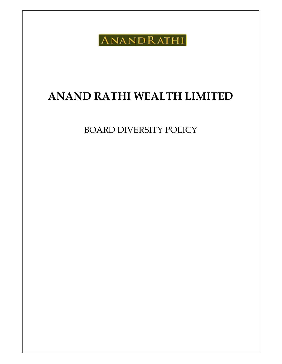ANANDRATHI

# ANAND RATHI WEALTH LIMITED

BOARD DIVERSITY POLICY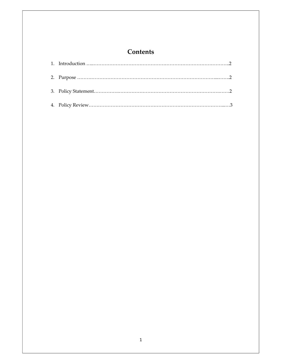# **Contents**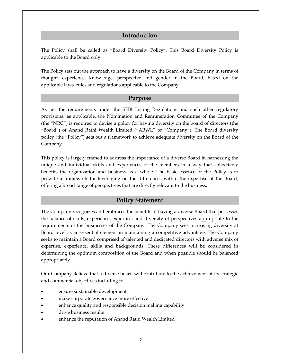### Introduction

The Policy shall be called as "Board Diversity Policy". This Board Diversity Policy is applicable to the Board only.

The Policy sets out the approach to have a diversity on the Board of the Company in terms of thought, experience, knowledge, perspective and gender in the Board, based on the applicable laws, rules and regulations applicable to the Company.

#### Purpose

As per the requirements under the SEBI Listing Regulations and such other regulatory provisions, as applicable, the Nomination and Remuneration Committee of the Company (the "NRC") is required to devise a policy for having diversity on the board of directors (the "Board") of Anand Rathi Wealth Limited ("ARWL" or "Company"). The Board diversity policy (the "Policy") sets out a framework to achieve adequate diversity on the Board of the Company.

This policy is largely framed to address the importance of a diverse Board in harnessing the unique and individual skills and experiences of the members in a way that collectively benefits the organization and business as a whole. The basic essence of the Policy is to provide a framework for leveraging on the differences within the expertise of the Board, offering a broad range of perspectives that are directly relevant to the business.

#### Policy Statement

The Company recognizes and embraces the benefits of having a diverse Board that possesses the balance of skills, experience, expertise, and diversity of perspectives appropriate to the requirements of the businesses of the Company. The Company sees increasing diversity at Board level as an essential element in maintaining a competitive advantage. The Company seeks to maintain a Board comprised of talented and dedicated directors with adverse mix of expertise, experience, skills and backgrounds. These differences will be considered in determining the optimum composition of the Board and when possible should be balanced appropriately.

Our Company Believe that a diverse board will contribute to the achievement of its strategic and commercial objectives including to:

- ensure sustainable development
- make corporate governance more effective
- enhance quality and responsible decision making capability
- drive business results
- enhance the reputation of Anand Rathi Wealth Limited